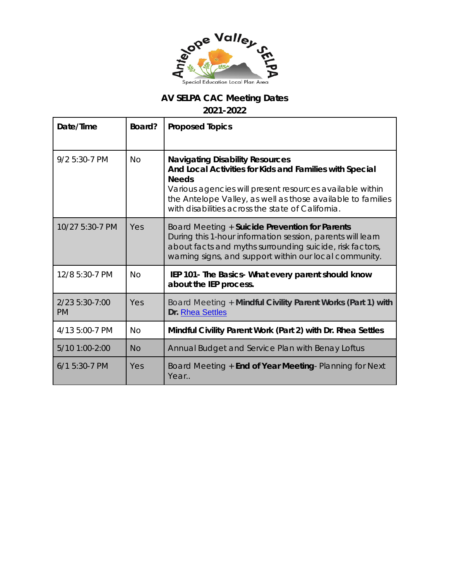

## **AV SELPA CAC Meeting Dates**

**2021-2022**

| Date/Time                   | Board?    | <b>Proposed Topics</b>                                                                                                                                                                                                                                                                            |  |
|-----------------------------|-----------|---------------------------------------------------------------------------------------------------------------------------------------------------------------------------------------------------------------------------------------------------------------------------------------------------|--|
| 9/2 5:30-7 PM               | <b>No</b> | <b>Navigating Disability Resources</b><br>And Local Activities for Kids and Families with Special<br><b>Needs</b><br>Various agencies will present resources available within<br>the Antelope Valley, as well as those available to families<br>with disabilities across the state of California. |  |
| 10/27 5:30-7 PM             | Yes       | Board Meeting + Suicide Prevention for Parents<br>During this 1-hour information session, parents will learn<br>about facts and myths surrounding suicide, risk factors,<br>warning signs, and support within our local community.                                                                |  |
| 12/8 5:30-7 PM              | <b>No</b> | IEP 101- The Basics- What every parent should know<br>about the IEP process.                                                                                                                                                                                                                      |  |
| 2/23 5:30-7:00<br><b>PM</b> | Yes       | Board Meeting + Mindful Civility Parent Works (Part 1) with<br>Dr. Rhea Settles                                                                                                                                                                                                                   |  |
| 4/13 5:00-7 PM              | <b>No</b> | Mindful Civility Parent Work (Part 2) with Dr. Rhea Settles                                                                                                                                                                                                                                       |  |
| 5/10 1:00-2:00              | <b>No</b> | Annual Budget and Service Plan with Benay Loftus                                                                                                                                                                                                                                                  |  |
| $6/1$ 5:30-7 PM             | Yes       | Board Meeting + End of Year Meeting- Planning for Next<br>Year                                                                                                                                                                                                                                    |  |